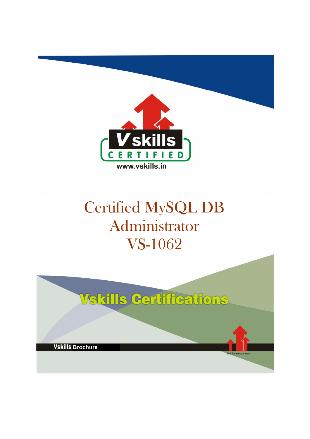

# Certified MySQL DB Administrator VS-1062

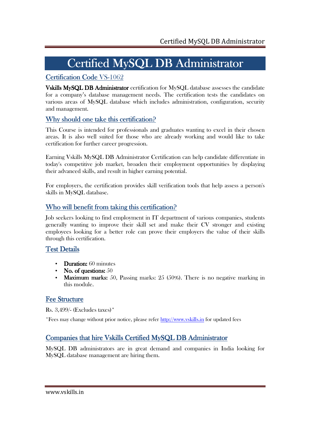# Certified MySQL DB Administrator

## Certification Code VS-1062

Vskills MySQL DB Administrator certification for MySQL database assesses the candidate for a company's database management needs. The certification tests the candidates on various areas of MySQL database which includes administration, configuration, security and management.

### Why should one take this certification?

This Course is intended for professionals and graduates wanting to excel in their chosen areas. It is also well suited for those who are already working and would like to take certification for further career progression.

Earning Vskills MySQL DB Administrator Certification can help candidate differentiate in today's competitive job market, broaden their employment opportunities by displaying their advanced skills, and result in higher earning potential.

For employers, the certification provides skill verification tools that help assess a person's skills in MySQL database.

### Who will benefit from taking this certification?

Job seekers looking to find employment in IT department of various companies, students generally wanting to improve their skill set and make their CV stronger and existing employees looking for a better role can prove their employers the value of their skills through this certification.

### Test Details

- $\bullet$  Duration:  $60$  minutes
- $\mathbf{N}$ o. of questions:  $50$
- Maximum marks: 50, Passing marks:  $25$  (50%). There is no negative marking in this module.

### **Fee Structure**

Rs. 3,499/- (Excludes taxes)\*

\*Fees may change without prior notice, please refer http://www.vskills.in for updated fees

### Companies that hire Vskills Certified MySQL DB Administrator

MySQL DB administrators are in great demand and companies in India looking for MySQL database management are hiring them.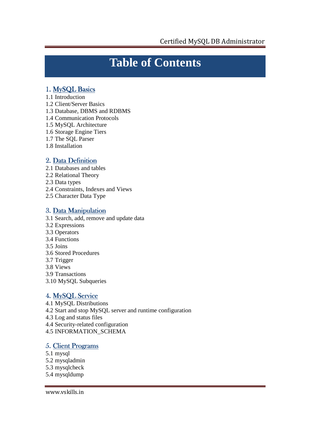## **Table of Contents**

### 1. MySQL Basics

- 1.1 Introduction
- 1.2 Client/Server Basics
- 1.3 Database, DBMS and RDBMS
- 1.4 Communication Protocols
- 1.5 MySQL Architecture
- 1.6 Storage Engine Tiers
- 1.7 The SQL Parser
- 1.8 Installation

### 2. Data Definition

- 2.1 Databases and tables
- 2.2 Relational Theory
- 2.3 Data types
- 2.4 Constraints, Indexes and Views
- 2.5 Character Data Type

#### 3. Data Manipulation

- 3.1 Search, add, remove and update data
- 3.2 Expressions
- 3.3 Operators
- 3.4 Functions
- 3.5 Joins
- 3.6 Stored Procedures
- 3.7 Trigger
- 3.8 Views
- 3.9 Transactions
- 3.10 MySQL Subqueries

### 4. MySQL Service

- 4.1 MySQL Distributions
- 4.2 Start and stop MySQL server and runtime configuration
- 4.3 Log and status files
- 4.4 Security-related configuration
- 4.5 INFORMATION\_SCHEMA

#### 5. Client Programs

- 5.1 mysql
- 5.2 mysqladmin
- 5.3 mysqlcheck
- 5.4 mysqldump

www.vskills.in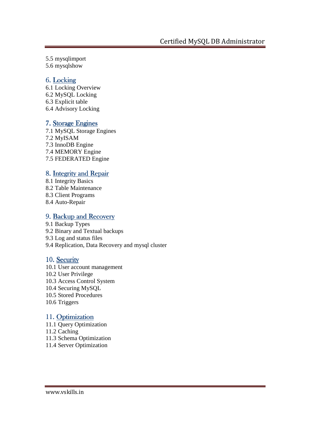5.5 mysqlimport

5.6 mysqlshow

### 6. Locking

6.1 Locking Overview 6.2 MySQL Locking 6.3 Explicit table 6.4 Advisory Locking

### 7. Storage Engines

7.1 MySQL Storage Engines 7.2 MyISAM 7.3 InnoDB Engine 7.4 MEMORY Engine 7.5 FEDERATED Engine

### 8. Integrity and Repair

- 8.1 Integrity Basics 8.2 Table Maintenance 8.3 Client Programs
- 8.4 Auto-Repair

## 9. Backup and Recovery

9.1 Backup Types 9.2 Binary and Textual backups 9.3 Log and status files 9.4 Replication, Data Recovery and mysql cluster

### 10. Security

10.1 User account management 10.2 User Privilege 10.3 Access Control System 10.4 Securing MySQL 10.5 Stored Procedures 10.6 Triggers

### 11. Optimization

11.1 Query Optimization 11.2 Caching 11.3 Schema Optimization 11.4 Server Optimization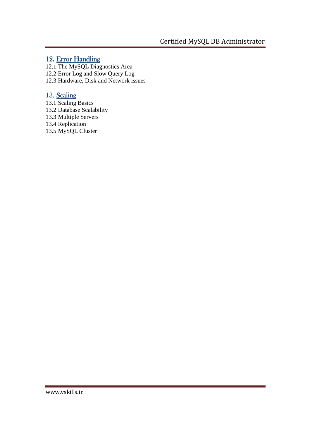#### 12. Error Handling

- 12.1 The MySQL Diagnostics Area
- 12.2 Error Log and Slow Query Log
- 12.3 Hardware, Disk and Network issues

### 13. Scaling

- 13.1 Scaling Basics
- 13.2 Database Scalability
- 13.3 Multiple Servers
- 13.4 Replication
- 13.5 MySQL Cluster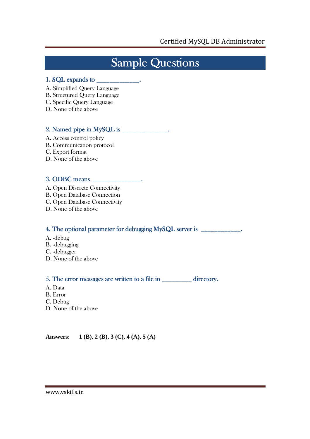## **Sample Questions**

#### 1. SQL expands to \_\_\_\_\_\_\_\_\_\_\_\_\_. \_\_\_\_\_\_\_\_\_\_\_\_\_.

- A. Simplified Query Language
- B. Structured Query Language
- C. Specific Query Language
- D. None of the above

#### 2. Named pipe in MySQL is \_\_\_\_\_\_\_\_\_\_\_\_\_\_. Named pipe in MySQL is \_\_\_\_\_\_\_\_\_\_\_\_\_\_.

- A. Access control policy B. Communication protocol C. Export format
- D. None of the above

#### 3. ODBC means \_\_\_\_\_\_\_\_\_\_\_\_\_\_\_. ODBC means \_\_\_\_\_\_\_\_\_\_\_\_\_\_\_.

- A. Open Discrete Connectivity
- B. Open Database Connection
- C. Open Database Connectivity
- D. None of the above

#### 4. The optional parameter for debugging MySQL server is \_\_\_\_\_\_\_\_\_\_\_\_\_.

- A. -debug
- B. -debugging
- C. -debugger
- D. None of the above

#### 5. The error messages are written to a file in  $\frac{1}{\sqrt{2}}$  directory.

- A. Data
- B. Error
- C. Debug
- D. None of the above

**Answers: 1 (B), 2 (B), 3 (C), 4 (A), 5 (A)**